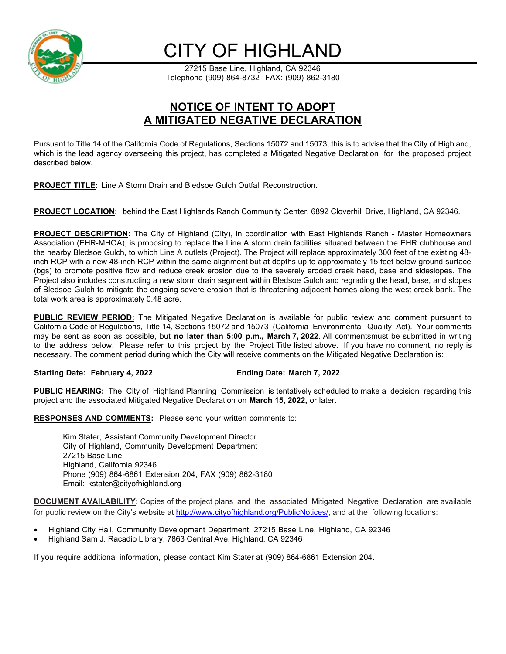

## CITY OF HIGHLAND

27215 Base Line, Highland, CA 92346 Telephone (909) 864-8732 FAX: (909) 862-3180

## **NOTICE OF INTENT TO ADOPT A MITIGATED NEGATIVE DECLARATION**

Pursuant to Title 14 of the California Code of Regulations, Sections 15072 and 15073, this is to advise that the City of Highland, which is the lead agency overseeing this project, has completed a Mitigated Negative Declaration for the proposed project described below.

**PROJECT TITLE:** Line A Storm Drain and Bledsoe Gulch Outfall Reconstruction.

**PROJECT LOCATION:** behind the East Highlands Ranch Community Center, 6892 Cloverhill Drive, Highland, CA 92346.

**PROJECT DESCRIPTION:** The City of Highland (City), in coordination with East Highlands Ranch - Master Homeowners Association (EHR-MHOA), is proposing to replace the Line A storm drain facilities situated between the EHR clubhouse and the nearby Bledsoe Gulch, to which Line A outlets (Project). The Project will replace approximately 300 feet of the existing 48 inch RCP with a new 48-inch RCP within the same alignment but at depths up to approximately 15 feet below ground surface (bgs) to promote positive flow and reduce creek erosion due to the severely eroded creek head, base and sideslopes. The Project also includes constructing a new storm drain segment within Bledsoe Gulch and regrading the head, base, and slopes of Bledsoe Gulch to mitigate the ongoing severe erosion that is threatening adjacent homes along the west creek bank. The total work area is approximately 0.48 acre.

**PUBLIC REVIEW PERIOD:** The Mitigated Negative Declaration is available for public review and comment pursuant to California Code of Regulations, Title 14, Sections 15072 and 15073 (California Environmental Quality Act). Your comments may be sent as soon as possible, but no later than 5:00 p.m., March 7, 2022. All commentsmust be submitted in writing to the address below. Please refer to this project by the Project Title listed above. If you have no comment, no reply is necessary. The comment period during which the City will receive comments on the Mitigated Negative Declaration is:

## **Starting Date: February 4, 2022 Ending Date: March 7, 2022**

**PUBLIC HEARING:** The City of Highland Planning Commission is tentatively scheduled to make a decision regarding this project and the associated Mitigated Negative Declaration on **March 15, 2022,** or later**.** 

**RESPONSES AND COMMENTS:** Please send your written comments to:

Kim Stater, Assistant Community Development Director City of Highland, Community Development Department 27215 Base Line Highland, California 92346 Phone (909) 864-6861 Extension 204, FAX (909) 862-3180 Email: kstater@cityofhighland.org

**DOCUMENT AVAILABILITY:** Copies of the project plans and the associated Mitigated Negative Declaration are available for public review on the City's website at http://www.cityofhighland.org/PublicNotices/, and at the following locations:

- Highland City Hall, Community Development Department, 27215 Base Line, Highland, CA 92346
- Highland Sam J. Racadio Library, 7863 Central Ave, Highland, CA 92346

If you require additional information, please contact Kim Stater at (909) 864-6861 Extension 204.